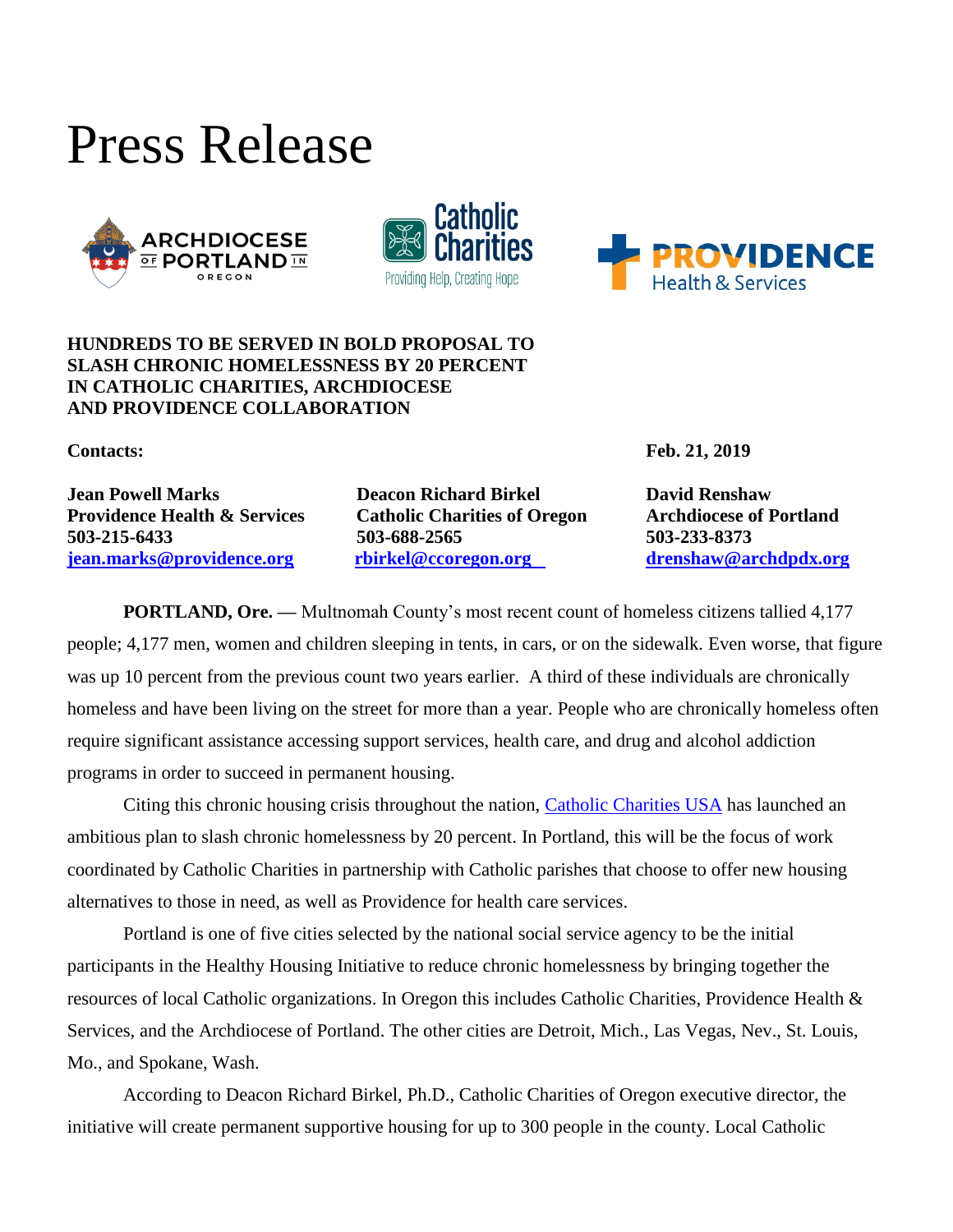







## **HUNDREDS TO BE SERVED IN BOLD PROPOSAL TO SLASH CHRONIC HOMELESSNESS BY 20 PERCENT IN CATHOLIC CHARITIES, ARCHDIOCESE AND PROVIDENCE COLLABORATION**

**Providence Health & Services** Catholic Charities of Oregon Archdiocese of Portland **503-215-6433 503-688-2565 503-233-8373 [jean.marks@providence.org](mailto:jean.marks@providence.org) [rbirkel@ccoregon.org](mailto:rbirkel@catholiccharitiesoregon.org) [drenshaw@archdpdx.org](mailto:drenshaw@archdpdx.org)** 

**Jean Powell Marks Deacon Richard Birkel David Renshaw** 

**Contacts: Feb. 21, 2019**

**PORTLAND, Ore.** — Multnomah County's most recent count of homeless citizens tallied 4,177 people; 4,177 men, women and children sleeping in tents, in cars, or on the sidewalk. Even worse, that figure was up 10 percent from the previous count two years earlier. A third of these individuals are chronically homeless and have been living on the street for more than a year. People who are chronically homeless often require significant assistance accessing support services, health care, and drug and alcohol addiction programs in order to succeed in permanent housing.

Citing this chronic housing crisis throughout the nation, [Catholic Charities USA](https://www.catholiccharitiesusa.org/) has launched an ambitious plan to slash chronic homelessness by 20 percent. In Portland, this will be the focus of work coordinated by Catholic Charities in partnership with Catholic parishes that choose to offer new housing alternatives to those in need, as well as Providence for health care services.

Portland is one of five cities selected by the national social service agency to be the initial participants in the Healthy Housing Initiative to reduce chronic homelessness by bringing together the resources of local Catholic organizations. In Oregon this includes Catholic Charities, Providence Health & Services, and the Archdiocese of Portland. The other cities are Detroit, Mich., Las Vegas, Nev., St. Louis, Mo., and Spokane, Wash.

According to Deacon Richard Birkel, Ph.D., Catholic Charities of Oregon executive director, the initiative will create permanent supportive housing for up to 300 people in the county. Local Catholic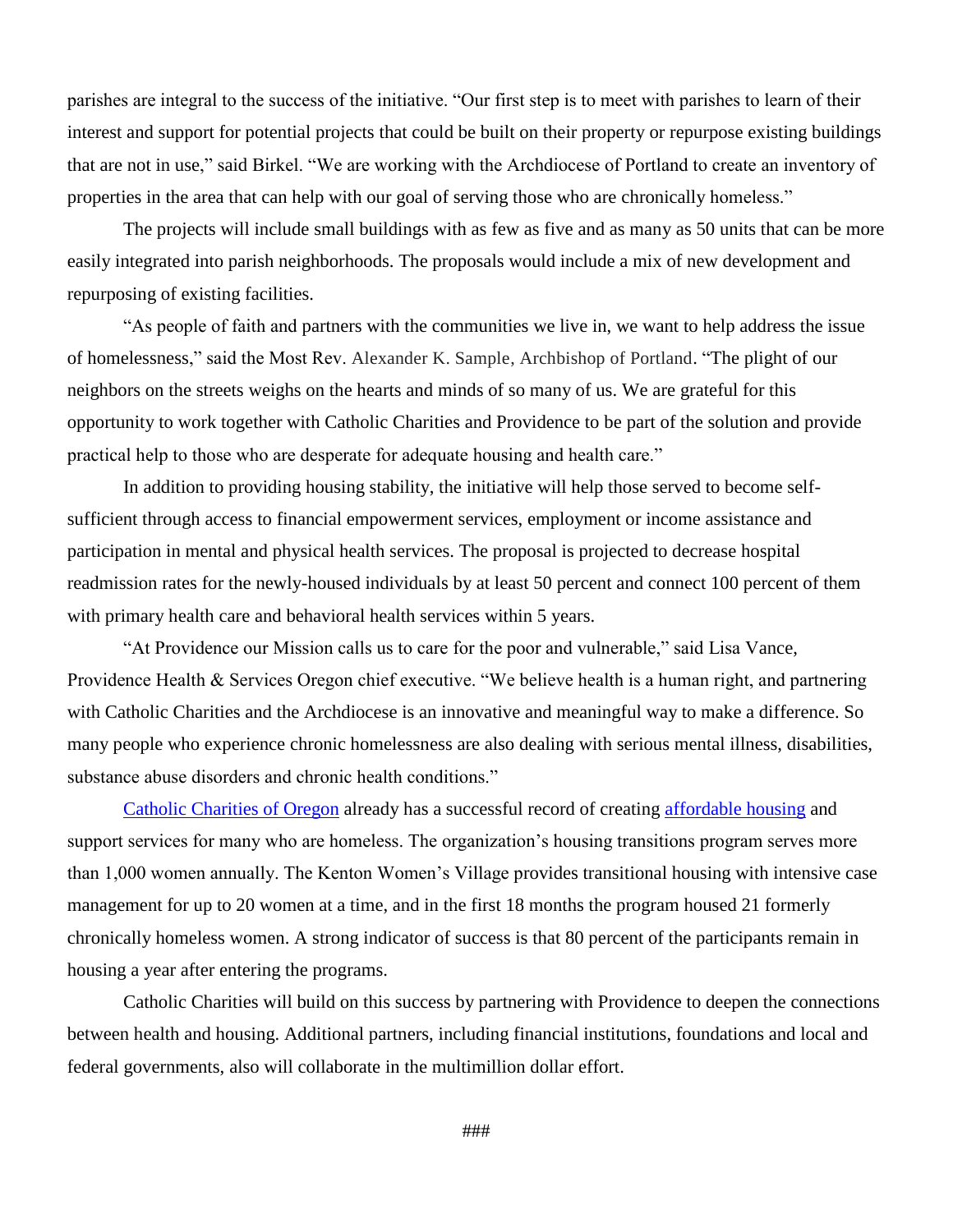parishes are integral to the success of the initiative. "Our first step is to meet with parishes to learn of their interest and support for potential projects that could be built on their property or repurpose existing buildings that are not in use," said Birkel. "We are working with the Archdiocese of Portland to create an inventory of properties in the area that can help with our goal of serving those who are chronically homeless."

The projects will include small buildings with as few as five and as many as 50 units that can be more easily integrated into parish neighborhoods. The proposals would include a mix of new development and repurposing of existing facilities.

"As people of faith and partners with the communities we live in, we want to help address the issue of homelessness," said the Most Rev. Alexander K. Sample, Archbishop of Portland. "The plight of our neighbors on the streets weighs on the hearts and minds of so many of us. We are grateful for this opportunity to work together with Catholic Charities and Providence to be part of the solution and provide practical help to those who are desperate for adequate housing and health care."

In addition to providing housing stability, the initiative will help those served to become selfsufficient through access to financial empowerment services, employment or income assistance and participation in mental and physical health services. The proposal is projected to decrease hospital readmission rates for the newly-housed individuals by at least 50 percent and connect 100 percent of them with primary health care and behavioral health services within 5 years.

"At Providence our Mission calls us to care for the poor and vulnerable," said Lisa Vance, Providence Health & Services Oregon chief executive. "We believe health is a human right, and partnering with Catholic Charities and the Archdiocese is an innovative and meaningful way to make a difference. So many people who experience chronic homelessness are also dealing with serious mental illness, disabilities, substance abuse disorders and chronic health conditions."

[Catholic Charities of Oregon](https://www.catholiccharitiesoregon.org/) already has a successful record of creating [affordable housing](https://www.catholiccharitiesoregon.org/provide-shelter/) and support services for many who are homeless. The organization's housing transitions program serves more than 1,000 women annually. The Kenton Women's Village provides transitional housing with intensive case management for up to 20 women at a time, and in the first 18 months the program housed 21 formerly chronically homeless women. A strong indicator of success is that 80 percent of the participants remain in housing a year after entering the programs.

Catholic Charities will build on this success by partnering with Providence to deepen the connections between health and housing. Additional partners, including financial institutions, foundations and local and federal governments, also will collaborate in the multimillion dollar effort.